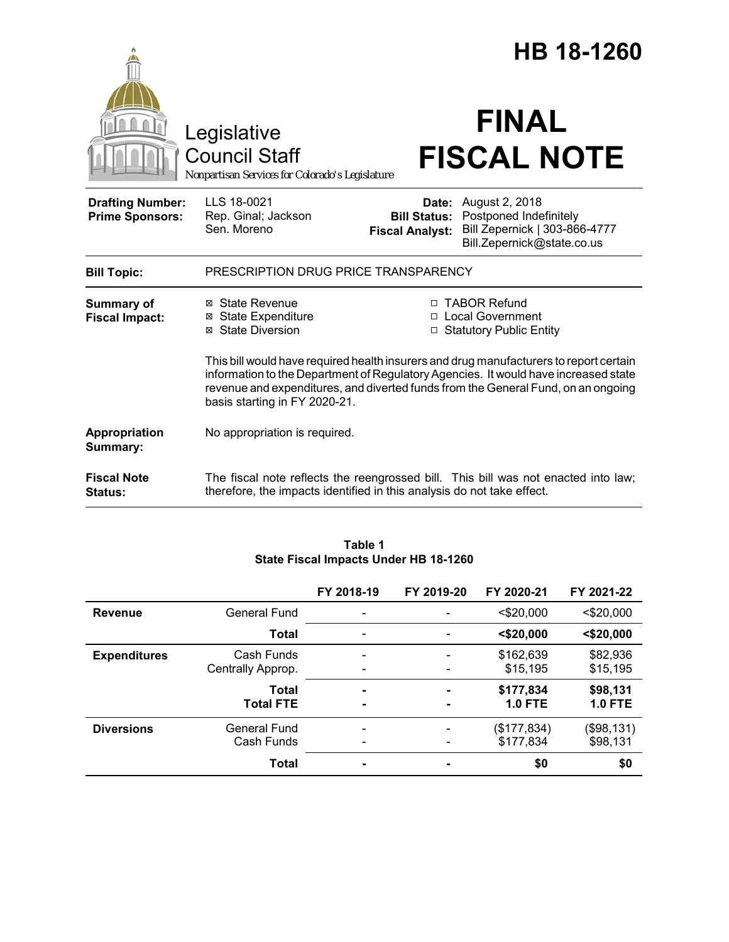|                                                   |                                                                                                                                                                                                                                                                                                     | HB 18-1260                                                             |                                                                                                         |  |  |  |
|---------------------------------------------------|-----------------------------------------------------------------------------------------------------------------------------------------------------------------------------------------------------------------------------------------------------------------------------------------------------|------------------------------------------------------------------------|---------------------------------------------------------------------------------------------------------|--|--|--|
|                                                   | Legislative<br>Council Staff<br>Nonpartisan Services for Colorado's Legislature                                                                                                                                                                                                                     |                                                                        | <b>FINAL</b><br><b>FISCAL NOTE</b>                                                                      |  |  |  |
| <b>Drafting Number:</b><br><b>Prime Sponsors:</b> | LLS 18-0021<br>Rep. Ginal; Jackson<br>Sen. Moreno                                                                                                                                                                                                                                                   | Date:<br><b>Bill Status:</b><br><b>Fiscal Analyst:</b>                 | August 2, 2018<br>Postponed Indefinitely<br>Bill Zepernick   303-866-4777<br>Bill.Zepernick@state.co.us |  |  |  |
| <b>Bill Topic:</b>                                | PRESCRIPTION DRUG PRICE TRANSPARENCY                                                                                                                                                                                                                                                                |                                                                        |                                                                                                         |  |  |  |
| <b>Summary of</b><br><b>Fiscal Impact:</b>        | ⊠ State Revenue<br><b>State Expenditure</b><br>⊠<br>⊠ State Diversion                                                                                                                                                                                                                               | □ TABOR Refund<br><b>Local Government</b><br>□ Statutory Public Entity |                                                                                                         |  |  |  |
|                                                   | This bill would have required health insurers and drug manufacturers to report certain<br>information to the Department of Regulatory Agencies. It would have increased state<br>revenue and expenditures, and diverted funds from the General Fund, on an ongoing<br>basis starting in FY 2020-21. |                                                                        |                                                                                                         |  |  |  |
| Appropriation<br>Summary:                         | No appropriation is required.                                                                                                                                                                                                                                                                       |                                                                        |                                                                                                         |  |  |  |
| <b>Fiscal Note</b><br><b>Status:</b>              | therefore, the impacts identified in this analysis do not take effect.                                                                                                                                                                                                                              |                                                                        | The fiscal note reflects the reengrossed bill. This bill was not enacted into law;                      |  |  |  |

|                     |                     | FY 2018-19     | FY 2019-20 | FY 2020-21     | FY 2021-22     |
|---------------------|---------------------|----------------|------------|----------------|----------------|
| <b>Revenue</b>      | <b>General Fund</b> |                |            | $<$ \$20,000   | $<$ \$20,000   |
|                     | <b>Total</b>        |                |            | $<$ \$20,000   | $<$ \$20,000   |
| <b>Expenditures</b> | Cash Funds          |                |            | \$162,639      | \$82,936       |
|                     | Centrally Approp.   |                |            | \$15,195       | \$15,195       |
|                     | <b>Total</b>        | ۰              | -          | \$177,834      | \$98,131       |
|                     | <b>Total FTE</b>    | $\blacksquare$ | ۰          | <b>1.0 FTE</b> | <b>1.0 FTE</b> |
| <b>Diversions</b>   | General Fund        |                |            | (\$177,834)    | (\$98,131)     |
|                     | Cash Funds          |                |            | \$177,834      | \$98,131       |
|                     | <b>Total</b>        | $\blacksquare$ | ٠          | \$0            | \$0            |

### **Table 1 State Fiscal Impacts Under HB 18-1260**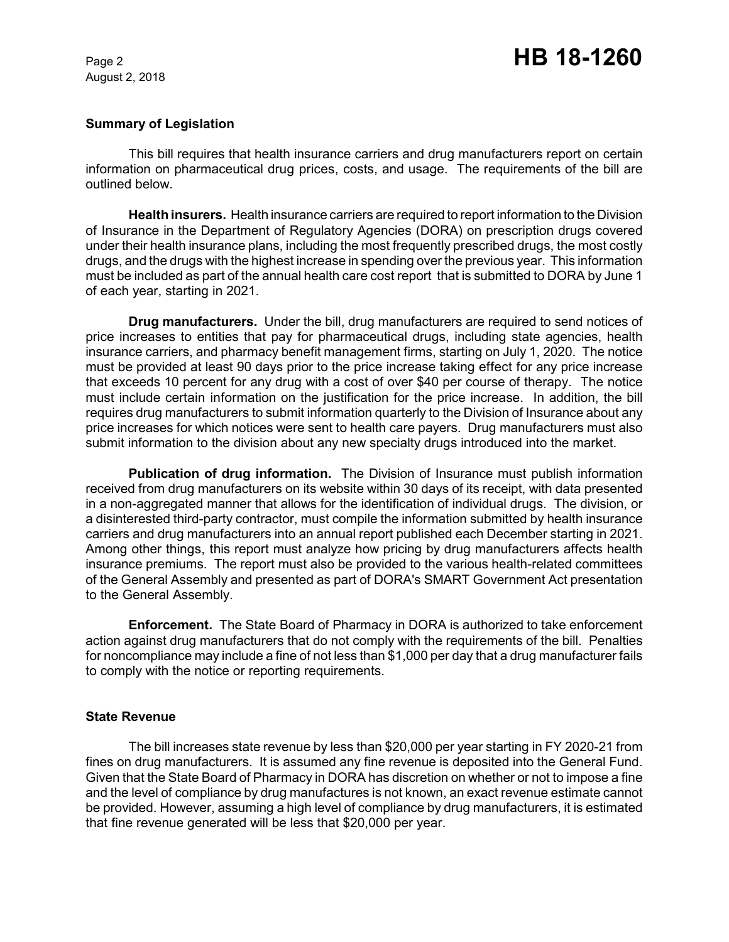August 2, 2018

## **Summary of Legislation**

This bill requires that health insurance carriers and drug manufacturers report on certain information on pharmaceutical drug prices, costs, and usage. The requirements of the bill are outlined below.

**Health insurers.** Health insurance carriers are required to report information to the Division of Insurance in the Department of Regulatory Agencies (DORA) on prescription drugs covered under their health insurance plans, including the most frequently prescribed drugs, the most costly drugs, and the drugs with the highest increase in spending over the previous year. This information must be included as part of the annual health care cost report that is submitted to DORA by June 1 of each year, starting in 2021.

**Drug manufacturers.** Under the bill, drug manufacturers are required to send notices of price increases to entities that pay for pharmaceutical drugs, including state agencies, health insurance carriers, and pharmacy benefit management firms, starting on July 1, 2020. The notice must be provided at least 90 days prior to the price increase taking effect for any price increase that exceeds 10 percent for any drug with a cost of over \$40 per course of therapy. The notice must include certain information on the justification for the price increase. In addition, the bill requires drug manufacturers to submit information quarterly to the Division of Insurance about any price increases for which notices were sent to health care payers. Drug manufacturers must also submit information to the division about any new specialty drugs introduced into the market.

**Publication of drug information.** The Division of Insurance must publish information received from drug manufacturers on its website within 30 days of its receipt, with data presented in a non-aggregated manner that allows for the identification of individual drugs. The division, or a disinterested third-party contractor, must compile the information submitted by health insurance carriers and drug manufacturers into an annual report published each December starting in 2021. Among other things, this report must analyze how pricing by drug manufacturers affects health insurance premiums. The report must also be provided to the various health-related committees of the General Assembly and presented as part of DORA's SMART Government Act presentation to the General Assembly.

**Enforcement.** The State Board of Pharmacy in DORA is authorized to take enforcement action against drug manufacturers that do not comply with the requirements of the bill. Penalties for noncompliance may include a fine of not less than \$1,000 per day that a drug manufacturer fails to comply with the notice or reporting requirements.

### **State Revenue**

The bill increases state revenue by less than \$20,000 per year starting in FY 2020-21 from fines on drug manufacturers. It is assumed any fine revenue is deposited into the General Fund. Given that the State Board of Pharmacy in DORA has discretion on whether or not to impose a fine and the level of compliance by drug manufactures is not known, an exact revenue estimate cannot be provided. However, assuming a high level of compliance by drug manufacturers, it is estimated that fine revenue generated will be less that \$20,000 per year.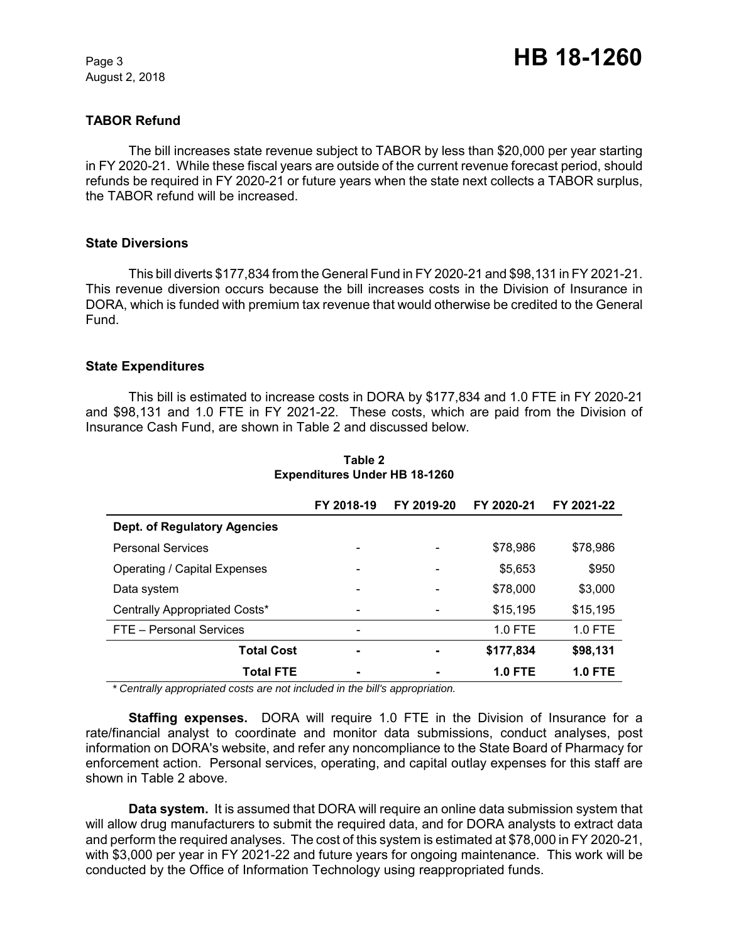August 2, 2018

# **TABOR Refund**

The bill increases state revenue subject to TABOR by less than \$20,000 per year starting in FY 2020-21. While these fiscal years are outside of the current revenue forecast period, should refunds be required in FY 2020-21 or future years when the state next collects a TABOR surplus, the TABOR refund will be increased.

### **State Diversions**

This bill diverts \$177,834 from the General Fund in FY 2020-21 and \$98,131 in FY 2021-21. This revenue diversion occurs because the bill increases costs in the Division of Insurance in DORA, which is funded with premium tax revenue that would otherwise be credited to the General Fund.

## **State Expenditures**

This bill is estimated to increase costs in DORA by \$177,834 and 1.0 FTE in FY 2020-21 and \$98,131 and 1.0 FTE in FY 2021-22. These costs, which are paid from the Division of Insurance Cash Fund, are shown in Table 2 and discussed below.

|                               | FY 2018-19               | FY 2019-20 | FY 2020-21 | FY 2021-22     |
|-------------------------------|--------------------------|------------|------------|----------------|
| Dept. of Regulatory Agencies  |                          |            |            |                |
| <b>Personal Services</b>      | -                        |            | \$78,986   | \$78,986       |
| Operating / Capital Expenses  | $\overline{\phantom{a}}$ |            | \$5,653    | \$950          |
| Data system                   | -                        |            | \$78,000   | \$3,000        |
| Centrally Appropriated Costs* | -                        |            | \$15,195   | \$15,195       |
| FTE - Personal Services       | -                        |            | 1.0 FTE    | $1.0$ FTE      |
| <b>Total Cost</b>             | $\blacksquare$           |            | \$177,834  | \$98,131       |
| <b>Total FTE</b>              | ٠                        |            | $1.0$ FTE  | <b>1.0 FTE</b> |

**Table 2 Expenditures Under HB 18-1260**

 *\* Centrally appropriated costs are not included in the bill's appropriation.*

**Staffing expenses.** DORA will require 1.0 FTE in the Division of Insurance for a rate/financial analyst to coordinate and monitor data submissions, conduct analyses, post information on DORA's website, and refer any noncompliance to the State Board of Pharmacy for enforcement action. Personal services, operating, and capital outlay expenses for this staff are shown in Table 2 above.

**Data system.** It is assumed that DORA will require an online data submission system that will allow drug manufacturers to submit the required data, and for DORA analysts to extract data and perform the required analyses. The cost of this system is estimated at \$78,000 in FY 2020-21, with \$3,000 per year in FY 2021-22 and future years for ongoing maintenance. This work will be conducted by the Office of Information Technology using reappropriated funds.